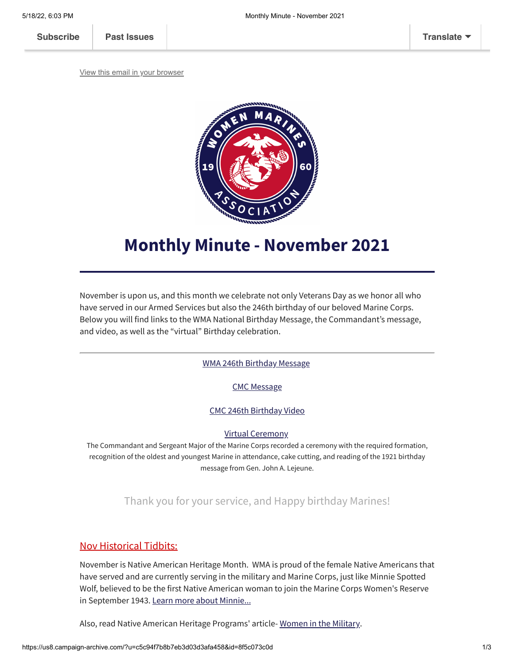**[Subscribe](http://eepurl.com/g1PW-5) [Past Issues](https://us8.campaign-archive.com/home/?u=c5c94f7b8b7eb3d03d3afa458&id=141e1f6d5b) [Translate](javascript:;)**

[View this email in your browser](https://mailchi.mp/7062275ff85a/monthly-minute-november-2021?e=[UNIQID])



## **Monthly Minute - November 2021**

November is upon us, and this month we celebrate not only Veterans Day as we honor all who have served in our Armed Services but also the 246th birthday of our beloved Marine Corps. Below you will find links to the WMA National Birthday Message, the Commandant's message, and video, as well as the "virtual" Birthday celebration.

WMA 246th [Birthday](https://mcusercontent.com/c5c94f7b8b7eb3d03d3afa458/files/3e71e360-4344-50b8-db27-a44bc2fec287/WMA_246th_BIRTHDAY_MESSAGE_Final.pdf) Message

CMC [Message](https://mcusercontent.com/c5c94f7b8b7eb3d03d3afa458/files/00803e75-8f27-a1e4-ab2a-0cb864825269/246th_Birthday_Message_CMC.pdf)

CMC 246th [Birthday](https://www.youtube.com/watch?v=28MsdHekB5U) Video

Virtual [Ceremony](https://www.dvidshub.net/feature/CMCBirthdayMessage)

The Commandant and Sergeant Major of the Marine Corps recorded a ceremony with the required formation, recognition of the oldest and youngest Marine in attendance, cake cutting, and reading of the 1921 birthday message from Gen. John A. Lejeune.

Thank you for your service, and Happy birthday Marines!

## Nov Historical Tidbits:

November is Native American Heritage Month. WMA is proud of the female Native Americans that have served and are currently serving in the military and Marine Corps, just like Minnie Spotted Wolf, believed to be the first Native American woman to join the Marine Corps Women's Reserve in September 1943. Learn more about [Minnie...](https://womenmarines.wordpress.com/2013/03/23/heart-butte-rancher-was-first-native-american-female-in-the-u-s-marines/)

Also, read Native American Heritage Programs' article- Women in the [Military.](https://lenapeprograms.info/military/women-in-the-military/)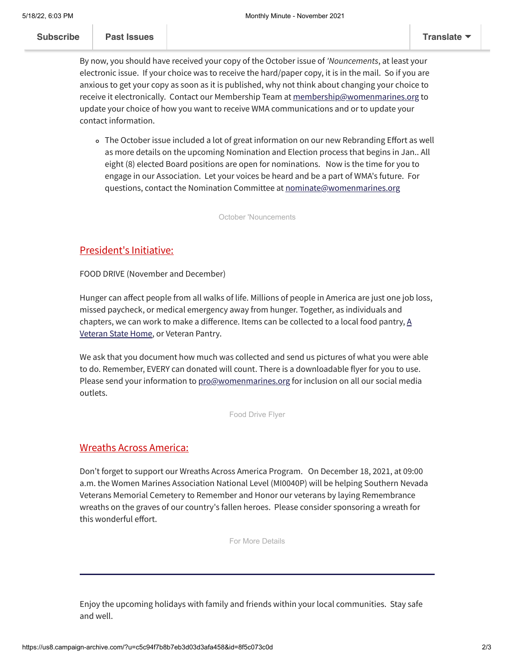By now, you should have received your copy of the October issue of *'Nouncements*, at least your electronic issue. If your choice was to receive the hard/paper copy, it is in the mail. So if you are anxious to get your copy as soon as it is published, why not think about changing your choice to receive it electronically. Contact our Membership Team at [membership@womenmarines.org](mailto:membership@womenmarines.org) to update your choice of how you want to receive WMA communications and or to update your contact information.

The October issue included a lot of great information on our new Rebranding Effort as well as more details on the upcoming Nomination and Election process that begins in Jan.. All eight (8) elected Board positions are open for nominations. Now is the time for you to engage in our Association. Let your voices be heard and be a part of WMA's future. For questions, contact the Nomination Committee at [nominate@womenmarines.org](mailto:nominate@womenmarines.org)

[October 'Nouncements](https://mcusercontent.com/c5c94f7b8b7eb3d03d3afa458/files/7a69417c-8765-534d-5b74-9635b7d3857f/Oct2021__Nouncements.pdf)

## President's Initiative:

FOOD DRIVE (November and December)

Hunger can affect people from all walks of life. Millions of people in America are just one job loss, missed paycheck, or medical emergency away from hunger. Together, as individuals and chapters, we can work to make a [difference.](https://www.nasvh.org/state-homes/statedir.cfm) Items can be collected to a local food pantry,  $\underline{A}$ Veteran State Home, or Veteran Pantry.

We ask that you document how much was collected and send us pictures of what you were able to do. Remember, EVERY can donated will count. There is a downloadable flyer for you to use. Please send your information to [pro@womenmarines.org](mailto:pro@womenmarines.org) for inclusion on all our social media outlets.

[Food Drive Flyer](https://mcusercontent.com/c5c94f7b8b7eb3d03d3afa458/images/40b94754-79c7-68f6-cbef-d3d42afdfbd6.jpg)

## Wreaths Across America:

Don't forget to support our Wreaths Across America Program. On December 18, 2021, at 09:00 a.m. the Women Marines Association National Level (MI0040P) will be helping Southern Nevada Veterans Memorial Cemetery to Remember and Honor our veterans by laying Remembrance wreaths on the graves of our country's fallen heroes. Please consider sponsoring a wreath for this wonderful effort.

[For More Details](https://www.wreathsacrossamerica.org/pages/20065)

Enjoy the upcoming holidays with family and friends within your local communities. Stay safe and well.